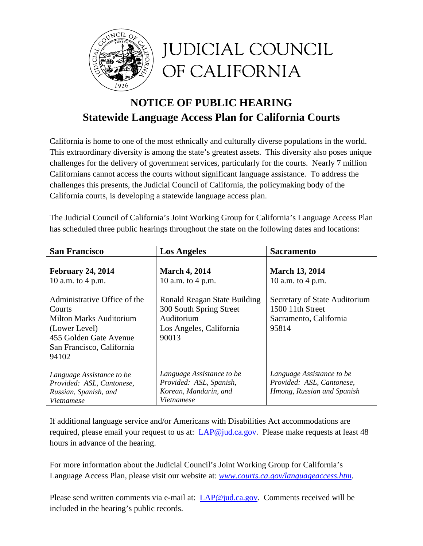

# **NOTICE OF PUBLIC HEARING Statewide Language Access Plan for California Courts**

California is home to one of the most ethnically and culturally diverse populations in the world. This extraordinary diversity is among the state's greatest assets. This diversity also poses unique challenges for the delivery of government services, particularly for the courts. Nearly 7 million Californians cannot access the courts without significant language assistance. To address the challenges this presents, the Judicial Council of California, the policymaking body of the California courts, is developing a statewide language access plan.

The Judicial Council of California's Joint Working Group for California's Language Access Plan has scheduled three public hearings throughout the state on the following dates and locations:

| <b>San Francisco</b>                                                                                                                               | <b>Los Angeles</b>                                                                                        | <b>Sacramento</b>                                                                    |
|----------------------------------------------------------------------------------------------------------------------------------------------------|-----------------------------------------------------------------------------------------------------------|--------------------------------------------------------------------------------------|
| <b>February 24, 2014</b><br>10 a.m. to 4 p.m.                                                                                                      | <b>March 4, 2014</b><br>10 a.m. to 4 p.m.                                                                 | <b>March 13, 2014</b><br>10 a.m. to 4 p.m.                                           |
| Administrative Office of the<br>Courts<br>Milton Marks Auditorium<br>(Lower Level)<br>455 Golden Gate Avenue<br>San Francisco, California<br>94102 | Ronald Reagan State Building<br>300 South Spring Street<br>Auditorium<br>Los Angeles, California<br>90013 | Secretary of State Auditorium<br>1500 11th Street<br>Sacramento, California<br>95814 |
| Language Assistance to be<br>Provided: ASL, Cantonese,<br>Russian, Spanish, and<br><i>Vietnamese</i>                                               | Language Assistance to be<br>Provided: ASL, Spanish,<br>Korean, Mandarin, and<br>Vietnamese               | Language Assistance to be<br>Provided: ASL, Cantonese,<br>Hmong, Russian and Spanish |

If additional language service and/or Americans with Disabilities Act accommodations are required, please email your request to us at: LAP@jud.ca.gov. Please make requests at least 48 hours in advance of the hearing.

For more information about the Judicial Council's Joint Working Group for California's Language Access Plan, please visit our website at: *www.courts.ca.gov/languageaccess.htm*.

Please send written comments via e-mail at: LAP@jud.ca.gov. Comments received will be included in the hearing's public records.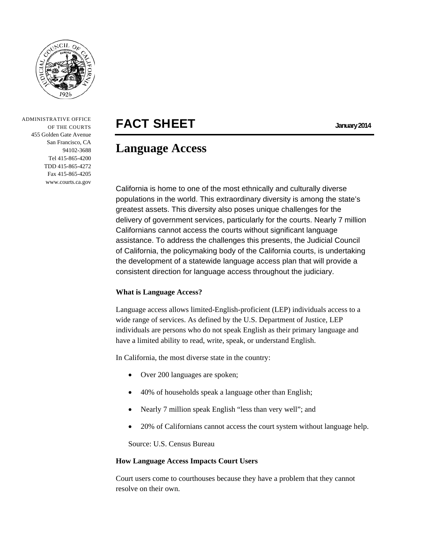

 ADMINISTRATIVE OFFICE OF THE COURTS 455 Golden Gate Avenue San Francisco, CA 94102-3688 Tel 415-865-4200 TDD 415-865-4272 Fax 415-865-4205 www.courts.ca.gov

# FACT SHEET **January 2014**

## **Language Access**

California is home to one of the most ethnically and culturally diverse populations in the world. This extraordinary diversity is among the state's greatest assets. This diversity also poses unique challenges for the delivery of government services, particularly for the courts. Nearly 7 million Californians cannot access the courts without significant language assistance. To address the challenges this presents, the Judicial Council of California, the policymaking body of the California courts, is undertaking the development of a statewide language access plan that will provide a consistent direction for language access throughout the judiciary.

#### **What is Language Access?**

Language access allows limited-English-proficient (LEP) individuals access to a wide range of services. As defined by the U.S. Department of Justice, LEP individuals are persons who do not speak English as their primary language and have a limited ability to read, write, speak, or understand English.

In California, the most diverse state in the country:

- Over 200 languages are spoken;
- 40% of households speak a language other than English;
- Nearly 7 million speak English "less than very well"; and
- 20% of Californians cannot access the court system without language help.

Source: U.S. Census Bureau

#### **How Language Access Impacts Court Users**

Court users come to courthouses because they have a problem that they cannot resolve on their own.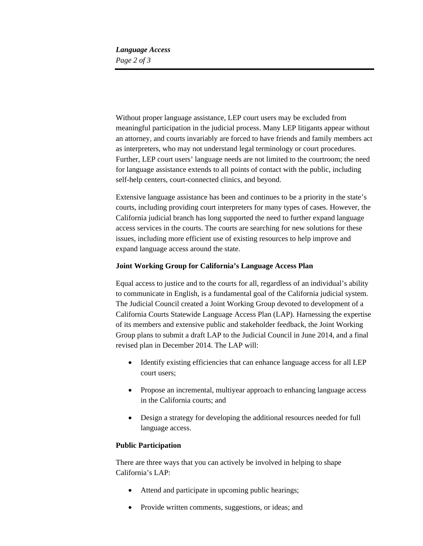*Language Access Page 2 of 3* 

Without proper language assistance, LEP court users may be excluded from meaningful participation in the judicial process. Many LEP litigants appear without an attorney, and courts invariably are forced to have friends and family members act as interpreters, who may not understand legal terminology or court procedures. Further, LEP court users' language needs are not limited to the courtroom; the need for language assistance extends to all points of contact with the public, including self-help centers, court-connected clinics, and beyond.

Extensive language assistance has been and continues to be a priority in the state's courts, including providing court interpreters for many types of cases. However, the California judicial branch has long supported the need to further expand language access services in the courts. The courts are searching for new solutions for these issues, including more efficient use of existing resources to help improve and expand language access around the state.

#### **Joint Working Group for California's Language Access Plan**

Equal access to justice and to the courts for all, regardless of an individual's ability to communicate in English, is a fundamental goal of the California judicial system. The Judicial Council created a Joint Working Group devoted to development of a California Courts Statewide Language Access Plan (LAP). Harnessing the expertise of its members and extensive public and stakeholder feedback, the Joint Working Group plans to submit a draft LAP to the Judicial Council in June 2014, and a final revised plan in December 2014. The LAP will:

- Identify existing efficiencies that can enhance language access for all LEP court users;
- Propose an incremental, multiyear approach to enhancing language access in the California courts; and
- Design a strategy for developing the additional resources needed for full language access.

#### **Public Participation**

There are three ways that you can actively be involved in helping to shape California's LAP:

- Attend and participate in upcoming public hearings;
- Provide written comments, suggestions, or ideas; and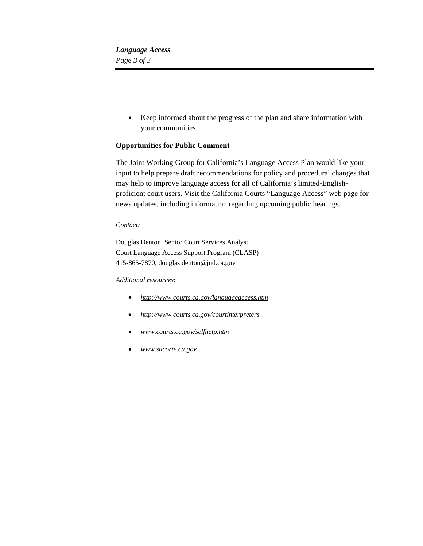*Language Access Page 3 of 3* 

> Keep informed about the progress of the plan and share information with your communities.

#### **Opportunities for Public Comment**

The Joint Working Group for California's Language Access Plan would like your input to help prepare draft recommendations for policy and procedural changes that may help to improve language access for all of California's limited-Englishproficient court users. Visit the California Courts "Language Access" web page for news updates, including information regarding upcoming public hearings.

#### *Contact:*

Douglas Denton, Senior Court Services Analyst Court Language Access Support Program (CLASP) 415-865-7870, douglas.denton@jud.ca.gov

#### *Additional resources*:

- *http://www.courts.ca.gov/languageaccess.htm*
- *http://www.courts.ca.gov/courtinterpreters*
- *www.courts.ca.gov/selfhelp.htm*
- *www.sucorte.ca.gov*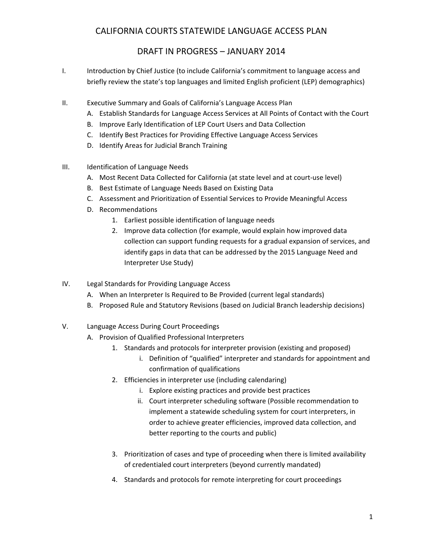- I. Introduction by Chief Justice (to include California's commitment to language access and briefly review the state's top languages and limited English proficient (LEP) demographics)
- II. Executive Summary and Goals of California's Language Access Plan
	- A. Establish Standards for Language Access Services at All Points of Contact with the Court
	- B. Improve Early Identification of LEP Court Users and Data Collection
	- C. Identify Best Practices for Providing Effective Language Access Services
	- D. Identify Areas for Judicial Branch Training
- III. Identification of Language Needs
	- A. Most Recent Data Collected for California (at state level and at court‐use level)
	- B. Best Estimate of Language Needs Based on Existing Data
	- C. Assessment and Prioritization of Essential Services to Provide Meaningful Access
	- D. Recommendations
		- 1. Earliest possible identification of language needs
		- 2. Improve data collection (for example, would explain how improved data collection can support funding requests for a gradual expansion of services, and identify gaps in data that can be addressed by the 2015 Language Need and Interpreter Use Study)
- IV. Legal Standards for Providing Language Access
	- A. When an Interpreter Is Required to Be Provided (current legal standards)
	- B. Proposed Rule and Statutory Revisions (based on Judicial Branch leadership decisions)
- V. Language Access During Court Proceedings
	- A. Provision of Qualified Professional Interpreters
		- 1. Standards and protocols for interpreter provision (existing and proposed)
			- i. Definition of "qualified" interpreter and standards for appointment and confirmation of qualifications
		- 2. Efficiencies in interpreter use (including calendaring)
			- i. Explore existing practices and provide best practices
			- ii. Court interpreter scheduling software (Possible recommendation to implement a statewide scheduling system for court interpreters, in order to achieve greater efficiencies, improved data collection, and better reporting to the courts and public)
		- 3. Prioritization of cases and type of proceeding when there is limited availability of credentialed court interpreters (beyond currently mandated)
		- 4. Standards and protocols for remote interpreting for court proceedings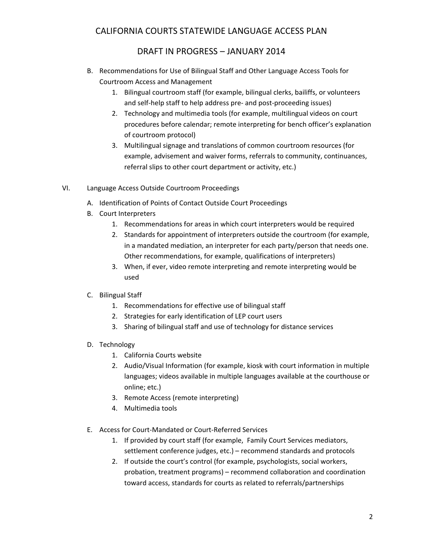- B. Recommendations for Use of Bilingual Staff and Other Language Access Tools for Courtroom Access and Management
	- 1. Bilingual courtroom staff (for example, bilingual clerks, bailiffs, or volunteers and self-help staff to help address pre- and post-proceeding issues)
	- 2. Technology and multimedia tools (for example, multilingual videos on court procedures before calendar; remote interpreting for bench officer's explanation of courtroom protocol)
	- 3. Multilingual signage and translations of common courtroom resources (for example, advisement and waiver forms, referrals to community, continuances, referral slips to other court department or activity, etc.)
- VI. Language Access Outside Courtroom Proceedings
	- A. Identification of Points of Contact Outside Court Proceedings
	- B. Court Interpreters
		- 1. Recommendations for areas in which court interpreters would be required
		- 2. Standards for appointment of interpreters outside the courtroom (for example, in a mandated mediation, an interpreter for each party/person that needs one. Other recommendations, for example, qualifications of interpreters)
		- 3. When, if ever, video remote interpreting and remote interpreting would be used
	- C. Bilingual Staff
		- 1. Recommendations for effective use of bilingual staff
		- 2. Strategies for early identification of LEP court users
		- 3. Sharing of bilingual staff and use of technology for distance services
	- D. Technology
		- 1. California Courts website
		- 2. Audio/Visual Information (for example, kiosk with court information in multiple languages; videos available in multiple languages available at the courthouse or online; etc.)
		- 3. Remote Access (remote interpreting)
		- 4. Multimedia tools
	- E. Access for Court‐Mandated or Court‐Referred Services
		- 1. If provided by court staff (for example, Family Court Services mediators, settlement conference judges, etc.) – recommend standards and protocols
		- 2. If outside the court's control (for example, psychologists, social workers, probation, treatment programs) – recommend collaboration and coordination toward access, standards for courts as related to referrals/partnerships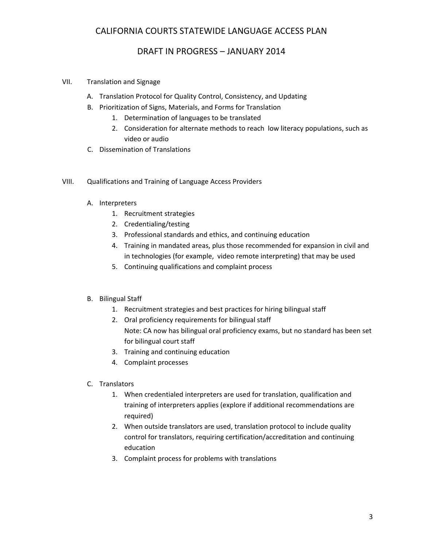- VII. Translation and Signage
	- A. Translation Protocol for Quality Control, Consistency, and Updating
	- B. Prioritization of Signs, Materials, and Forms for Translation
		- 1. Determination of languages to be translated
		- 2. Consideration for alternate methods to reach low literacy populations, such as video or audio
	- C. Dissemination of Translations
- VIII. Qualifications and Training of Language Access Providers
	- A. Interpreters
		- 1. Recruitment strategies
		- 2. Credentialing/testing
		- 3. Professional standards and ethics, and continuing education
		- 4. Training in mandated areas, plus those recommended for expansion in civil and in technologies (for example, video remote interpreting) that may be used
		- 5. Continuing qualifications and complaint process
	- B. Bilingual Staff
		- 1. Recruitment strategies and best practices for hiring bilingual staff
		- 2. Oral proficiency requirements for bilingual staff Note: CA now has bilingual oral proficiency exams, but no standard has been set for bilingual court staff
		- 3. Training and continuing education
		- 4. Complaint processes
	- C. Translators
		- 1. When credentialed interpreters are used for translation, qualification and training of interpreters applies (explore if additional recommendations are required)
		- 2. When outside translators are used, translation protocol to include quality control for translators, requiring certification/accreditation and continuing education
		- 3. Complaint process for problems with translations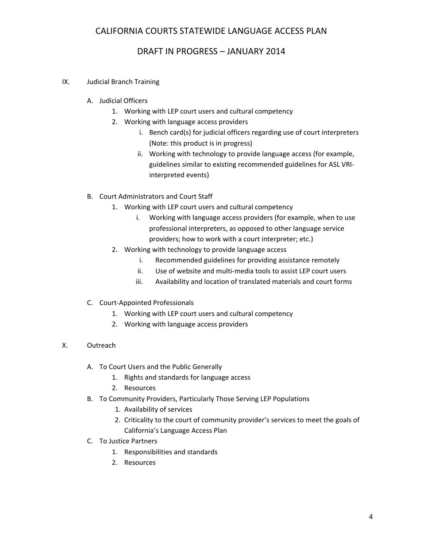- IX. Judicial Branch Training
	- A. Judicial Officers
		- 1. Working with LEP court users and cultural competency
		- 2. Working with language access providers
			- i. Bench card(s) for judicial officers regarding use of court interpreters (Note: this product is in progress)
			- ii. Working with technology to provide language access (for example, guidelines similar to existing recommended guidelines for ASL VRI‐ interpreted events)
	- B. Court Administrators and Court Staff
		- 1. Working with LEP court users and cultural competency
			- i. Working with language access providers (for example, when to use professional interpreters, as opposed to other language service providers; how to work with a court interpreter; etc.)
		- 2. Working with technology to provide language access
			- i. Recommended guidelines for providing assistance remotely
			- ii. Use of website and multi‐media tools to assist LEP court users
			- iii. Availability and location of translated materials and court forms
	- C. Court‐Appointed Professionals
		- 1. Working with LEP court users and cultural competency
		- 2. Working with language access providers
- X. Outreach
	- A. To Court Users and the Public Generally
		- 1. Rights and standards for language access
		- 2. Resources
	- B. To Community Providers, Particularly Those Serving LEP Populations
		- 1. Availability of services
		- 2. Criticality to the court of community provider's services to meet the goals of California's Language Access Plan
	- C. To Justice Partners
		- 1. Responsibilities and standards
		- 2. Resources